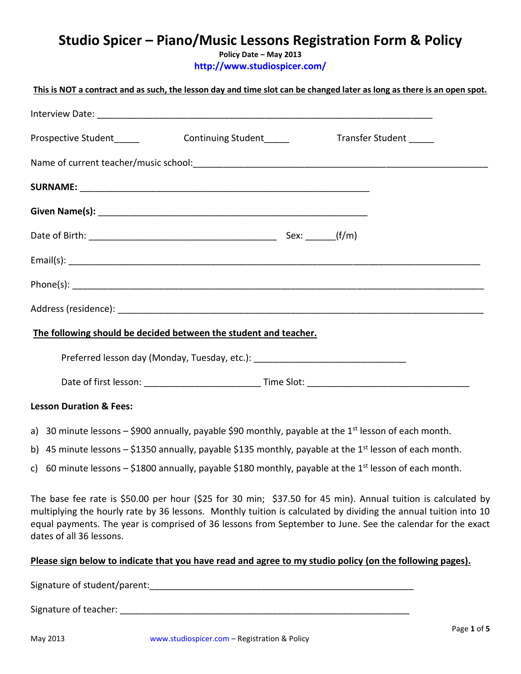# **Studio Spicer – Piano/Music Lessons Registration Form & Policy**

**Policy Date – May 2013 <http://www.studiospicer.com/>**

| This is NOT a contract and as such, the lesson day and time slot can be changed later as long as there is an open spot. |  |                         |  |
|-------------------------------------------------------------------------------------------------------------------------|--|-------------------------|--|
|                                                                                                                         |  |                         |  |
|                                                                                                                         |  | Transfer Student ______ |  |
|                                                                                                                         |  |                         |  |
|                                                                                                                         |  |                         |  |
|                                                                                                                         |  |                         |  |
|                                                                                                                         |  |                         |  |
|                                                                                                                         |  |                         |  |
|                                                                                                                         |  |                         |  |
|                                                                                                                         |  |                         |  |
| The following should be decided between the student and teacher.                                                        |  |                         |  |
| Preferred lesson day (Monday, Tuesday, etc.): __________________________________                                        |  |                         |  |
|                                                                                                                         |  |                         |  |
| <b>Lesson Duration &amp; Fees:</b>                                                                                      |  |                         |  |
| a) 30 minute lessons $-$ \$900 annually, payable \$90 monthly, payable at the 1 <sup>st</sup> lesson of each month.     |  |                         |  |

- b) 45 minute lessons \$1350 annually, payable \$135 monthly, payable at the 1<sup>st</sup> lesson of each month.
- c) 60 minute lessons \$1800 annually, payable \$180 monthly, payable at the 1<sup>st</sup> lesson of each month.

The base fee rate is \$50.00 per hour (\$25 for 30 min; \$37.50 for 45 min). Annual tuition is calculated by multiplying the hourly rate by 36 lessons. Monthly tuition is calculated by dividing the annual tuition into 10 equal payments. The year is comprised of 36 lessons from September to June. See the calendar for the exact dates of all 36 lessons.

# **Please sign below to indicate that you have read and agree to my studio policy (on the following pages).**

Signature of student/parent:\_\_\_\_\_\_\_\_\_\_\_\_\_\_\_\_\_\_\_\_\_\_\_\_\_\_\_\_\_\_\_\_\_\_\_\_\_\_\_\_\_\_\_\_\_\_\_\_\_\_\_\_

Signature of teacher: **Example 2018**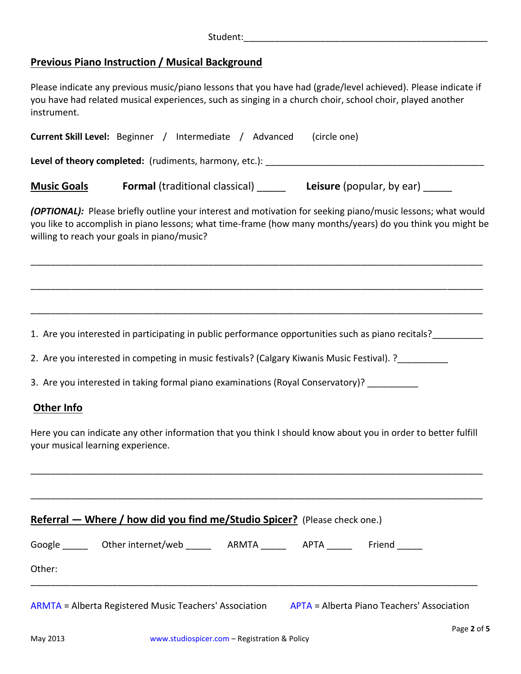# **Previous Piano Instruction / Musical Background**

Please indicate any previous music/piano lessons that you have had (grade/level achieved). Please indicate if you have had related musical experiences, such as singing in a church choir, school choir, played another instrument.

| <b>Current Skill Level:</b> Beginner / Intermediate / Advanced                                                                                             |  |  | (circle one)                                                                   |                                                                                                            |
|------------------------------------------------------------------------------------------------------------------------------------------------------------|--|--|--------------------------------------------------------------------------------|------------------------------------------------------------------------------------------------------------|
|                                                                                                                                                            |  |  |                                                                                |                                                                                                            |
| <b>Music Goals</b>                                                                                                                                         |  |  | <b>Formal</b> (traditional classical) _______ Leisure (popular, by ear) ______ |                                                                                                            |
| (OPTIONAL): Please briefly outline your interest and motivation for seeking piano/music lessons; what would<br>willing to reach your goals in piano/music? |  |  |                                                                                | you like to accomplish in piano lessons; what time-frame (how many months/years) do you think you might be |
|                                                                                                                                                            |  |  |                                                                                |                                                                                                            |
| 1. Are you interested in participating in public performance opportunities such as piano recitals?                                                         |  |  |                                                                                |                                                                                                            |
| 2. Are you interested in competing in music festivals? (Calgary Kiwanis Music Festival). ?_________                                                        |  |  |                                                                                |                                                                                                            |
| 3. Are you interested in taking formal piano examinations (Royal Conservatory)? __________                                                                 |  |  |                                                                                |                                                                                                            |
| Other Info                                                                                                                                                 |  |  |                                                                                |                                                                                                            |
| Here you can indicate any other information that you think I should know about you in order to better fulfill<br>your musical learning experience.         |  |  |                                                                                |                                                                                                            |
|                                                                                                                                                            |  |  |                                                                                |                                                                                                            |
| Referral - Where / how did you find me/Studio Spicer? (Please check one.)                                                                                  |  |  |                                                                                |                                                                                                            |
| Google ______ Other internet/web ______ ARMTA ______ APTA ______ Friend _____<br>Other:                                                                    |  |  |                                                                                |                                                                                                            |
| ARMTA = Alberta Registered Music Teachers' Association APTA = Alberta Piano Teachers' Association                                                          |  |  |                                                                                |                                                                                                            |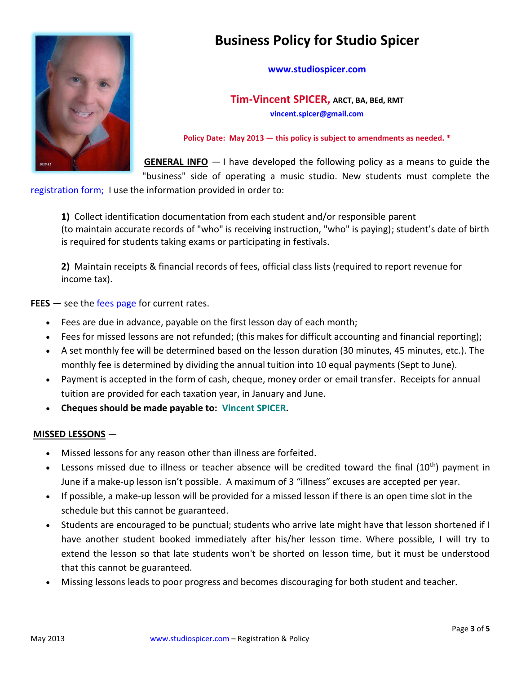

# **Business Policy for Studio Spicer**

#### **[www.studiospicer.com](http://www.studiospicer.com/)**

**Tim-Vincent SPICER, ARCT, BA, BEd, RMT [vincent.spicer@gmail.com](mailto:vincent.spicer@gmail.com)**

**Policy Date: May 2013 — this policy is subject to amendments as needed. \***

**GENERAL INFO** — I have developed the following policy as a means to guide the "business" side of operating a music studio. New students must complete the

[registration form;](http://www.studiospicer.com/pages/registration_form.htm) I use the information provided in order to:

**1)** Collect identification documentation from each student and/or responsible parent (to maintain accurate records of "who" is receiving instruction, "who" is paying); student's date of birth is required for students taking exams or participating in festivals.

**2)** Maintain receipts & financial records of fees, official class lists (required to report revenue for income tax).

**FEES** – see the [fees page](http://www.studiospicer.com/pages/pages/fees.htm) for current rates.

- Fees are due in advance, payable on the first lesson day of each month;
- Fees for missed lessons are not refunded; (this makes for difficult accounting and financial reporting);
- A set monthly fee will be determined based on the lesson duration (30 minutes, 45 minutes, etc.). The monthly fee is determined by dividing the annual tuition into 10 equal payments (Sept to June).
- Payment is accepted in the form of cash, cheque, money order or email transfer. Receipts for annual tuition are provided for each taxation year, in January and June.
- **Cheques should be made payable to: Vincent SPICER.**

#### **MISSED LESSONS** —

- Missed lessons for any reason other than illness are forfeited.
- **Example 10** Lessons missed due to illness or teacher absence will be credited toward the final  $(10^{th})$  payment in June if a make-up lesson isn't possible. A maximum of 3 "illness" excuses are accepted per year.
- If possible, a make-up lesson will be provided for a missed lesson if there is an open time slot in the schedule but this cannot be guaranteed.
- Students are encouraged to be punctual; students who arrive late might have that lesson shortened if I have another student booked immediately after his/her lesson time. Where possible, I will try to extend the lesson so that late students won't be shorted on lesson time, but it must be understood that this cannot be guaranteed.
- Missing lessons leads to poor progress and becomes discouraging for both student and teacher.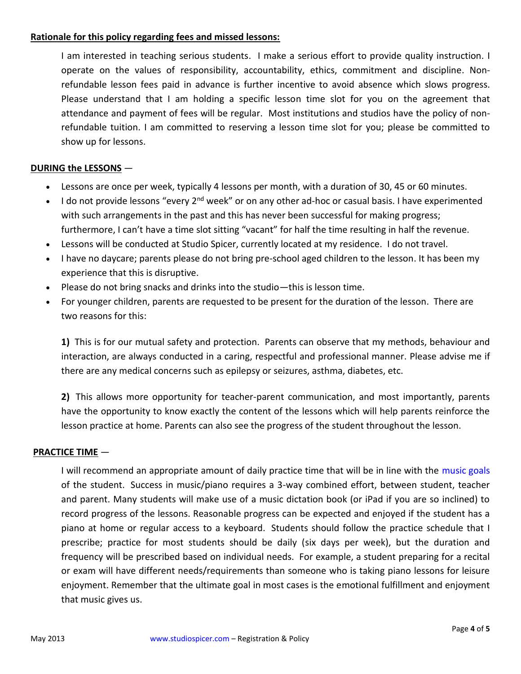## **Rationale for this policy regarding fees and missed lessons:**

I am interested in teaching serious students. I make a serious effort to provide quality instruction. I operate on the values of responsibility, accountability, ethics, commitment and discipline. Nonrefundable lesson fees paid in advance is further incentive to avoid absence which slows progress. Please understand that I am holding a specific lesson time slot for you on the agreement that attendance and payment of fees will be regular. Most institutions and studios have the policy of nonrefundable tuition. I am committed to reserving a lesson time slot for you; please be committed to show up for lessons.

### **DURING the LESSONS** —

- Lessons are once per week, typically 4 lessons per month, with a duration of 30, 45 or 60 minutes.
- I do not provide lessons "every  $2^{nd}$  week" or on any other ad-hoc or casual basis. I have experimented with such arrangements in the past and this has never been successful for making progress; furthermore, I can't have a time slot sitting "vacant" for half the time resulting in half the revenue.
- Lessons will be conducted at Studio Spicer, currently located at my residence. I do not travel.
- I have no daycare; parents please do not bring pre-school aged children to the lesson. It has been my experience that this is disruptive.
- Please do not bring snacks and drinks into the studio—this is lesson time.
- For younger children, parents are requested to be present for the duration of the lesson. There are two reasons for this:

**1)** This is for our mutual safety and protection. Parents can observe that my methods, behaviour and interaction, are always conducted in a caring, respectful and professional manner. Please advise me if there are any medical concerns such as epilepsy or seizures, asthma, diabetes, etc.

**2)** This allows more opportunity for teacher-parent communication, and most importantly, parents have the opportunity to know exactly the content of the lessons which will help parents reinforce the lesson practice at home. Parents can also see the progress of the student throughout the lesson.

### **PRACTICE TIME** —

I will recommend an appropriate amount of daily practice time that will be in line with the [music goals](http://www.studiospicer.com/pages/music_goals.htm) of the student. Success in music/piano requires a 3-way combined effort, between student, teacher and parent. Many students will make use of a music dictation book (or iPad if you are so inclined) to record progress of the lessons. Reasonable progress can be expected and enjoyed if the student has a piano at home or regular access to a keyboard. Students should follow the practice schedule that I prescribe; practice for most students should be daily (six days per week), but the duration and frequency will be prescribed based on individual needs. For example, a student preparing for a recital or exam will have different needs/requirements than someone who is taking piano lessons for leisure enjoyment. Remember that the ultimate goal in most cases is the emotional fulfillment and enjoyment that music gives us.